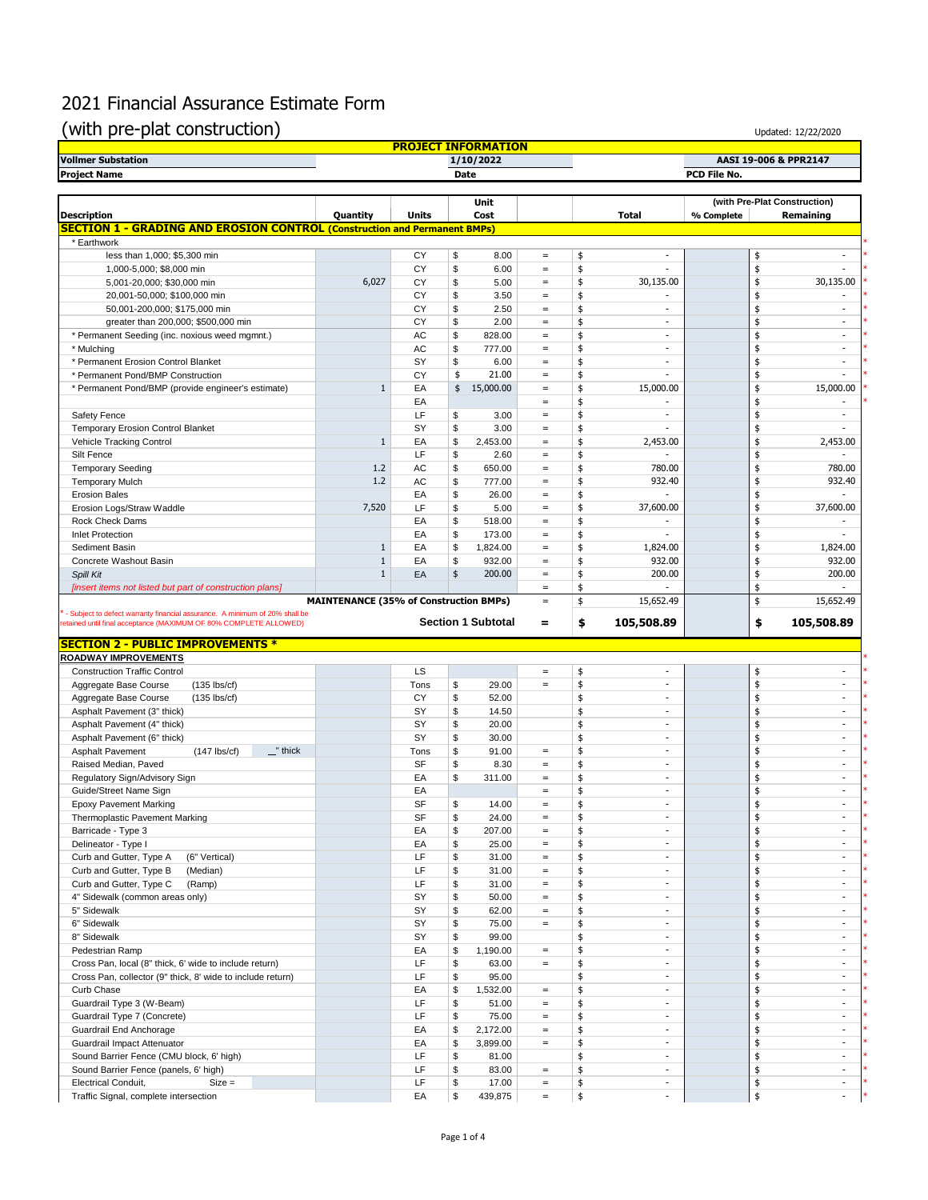| (with pre-plat construction)                                                                                                                     |                                               |              |          |                            |                               |          |                          |              | Updated: 12/22/2020              |
|--------------------------------------------------------------------------------------------------------------------------------------------------|-----------------------------------------------|--------------|----------|----------------------------|-------------------------------|----------|--------------------------|--------------|----------------------------------|
| <b>Vollmer Substation</b>                                                                                                                        |                                               |              |          | <b>PROJECT INFORMATION</b> |                               |          |                          |              | AASI 19-006 & PPR2147            |
| <b>Project Name</b>                                                                                                                              |                                               |              |          | 1/10/2022<br>Date          |                               |          |                          | PCD File No. |                                  |
|                                                                                                                                                  |                                               |              |          |                            |                               |          |                          |              |                                  |
|                                                                                                                                                  |                                               |              |          | Unit                       |                               |          |                          |              | (with Pre-Plat Construction)     |
| <b>Description</b>                                                                                                                               | Quantity                                      | <b>Units</b> |          | Cost                       |                               |          | <b>Total</b>             | % Complete   | Remaining                        |
| <b>SECTION 1 - GRADING AND EROSION CONTROL (Construction and Permanent BMPs)</b>                                                                 |                                               |              |          |                            |                               |          |                          |              |                                  |
| * Earthwork                                                                                                                                      |                                               |              |          |                            |                               |          |                          |              |                                  |
| less than 1,000; \$5,300 min                                                                                                                     |                                               | CY           | \$       | 8.00                       | $\equiv$                      | \$       | ٠                        | \$           | $\sim$                           |
| 1,000-5,000; \$8,000 min                                                                                                                         |                                               | CY           | \$       | 6.00                       | $\equiv$                      | \$       |                          | \$           |                                  |
| 5,001-20,000; \$30,000 min                                                                                                                       | 6,027                                         | CY           | \$       | 5.00                       | $=$                           | \$       | 30,135.00                | \$           | 30,135.00                        |
| 20,001-50,000; \$100,000 min                                                                                                                     |                                               | CY           | \$       | 3.50                       | $\equiv$                      | \$       |                          | \$           |                                  |
| 50,001-200,000; \$175,000 min                                                                                                                    |                                               | CY           | \$       | 2.50                       | $\equiv$                      | \$       |                          | \$           |                                  |
| greater than 200,000; \$500,000 min                                                                                                              |                                               | CY<br>AC     | \$<br>\$ | 2.00                       | $\equiv$                      | \$       | $\sim$<br>$\sim$         | \$           | $\overline{a}$<br>$\overline{a}$ |
| * Permanent Seeding (inc. noxious weed mgmnt.)                                                                                                   |                                               | AC           |          | 828.00                     | $\equiv$                      | \$<br>\$ | $\sim$                   | \$<br>\$     | $\sim$                           |
| * Mulching<br>* Permanent Erosion Control Blanket                                                                                                |                                               | SY           | \$<br>\$ | 777.00<br>6.00             | $\qquad \qquad =$<br>$\equiv$ | \$       | $\overline{\phantom{a}}$ | \$           | $\sim$                           |
| * Permanent Pond/BMP Construction                                                                                                                |                                               | CY           | \$       | 21.00                      | $\,=\,$                       | \$       |                          | \$           | ٠                                |
| * Permanent Pond/BMP (provide engineer's estimate)                                                                                               | 1                                             | EA           | \$       | 15,000.00                  | $\equiv$                      | \$       | 15,000.00                | \$           | 15,000.00                        |
|                                                                                                                                                  |                                               | EA           |          |                            | $\equiv$                      | \$       |                          | \$           |                                  |
| Safety Fence                                                                                                                                     |                                               | LF           | \$       | 3.00                       | $\equiv$                      | \$       | $\sim$                   | \$           | $\sim$                           |
| <b>Temporary Erosion Control Blanket</b>                                                                                                         |                                               | SY           | \$       | 3.00                       | $\equiv$                      | \$       | ×.                       | \$           | $\sim$                           |
| Vehicle Tracking Control                                                                                                                         | $\mathbf{1}$                                  | EA           | \$       | 2,453.00                   | $\equiv$                      | \$       | 2,453.00                 | \$           | 2,453.00                         |
| Silt Fence                                                                                                                                       |                                               | LF           | \$       | 2.60                       | $\equiv$                      | \$       | $\sim$                   | \$           |                                  |
| <b>Temporary Seeding</b>                                                                                                                         | 1.2                                           | AC           | \$       | 650.00                     | $\equiv$                      | \$       | 780.00                   | \$           | 780.00                           |
| <b>Temporary Mulch</b>                                                                                                                           | 1.2                                           | AC           | \$       | 777.00                     | $=$                           | \$       | 932.40                   | \$           | 932.40                           |
| <b>Erosion Bales</b>                                                                                                                             |                                               | EA           | \$       | 26.00                      | $\equiv$                      | \$       |                          | \$           | ٠                                |
| Erosion Logs/Straw Waddle                                                                                                                        | 7,520                                         | LF           | \$       | 5.00                       | $\equiv$                      | \$       | 37,600.00                | \$           | 37,600.00                        |
| Rock Check Dams                                                                                                                                  |                                               | EA           | \$       | 518.00                     | $\qquad \qquad =$             | \$       | $\sim$                   | \$           | $\overline{\phantom{a}}$         |
| <b>Inlet Protection</b>                                                                                                                          |                                               | EA           | \$       | 173.00                     | $\equiv$                      | \$       | $\sim$                   | \$           |                                  |
| Sediment Basin                                                                                                                                   | $\mathbf{1}$                                  | EA           | \$       | 1,824.00                   | $\equiv$                      | \$       | 1,824.00                 | \$           | 1,824.00                         |
| Concrete Washout Basin                                                                                                                           | $\mathbf{1}$                                  | EA           | \$       | 932.00                     | $\equiv$                      | \$       | 932.00                   | \$           | 932.00                           |
| Spill Kit                                                                                                                                        | $\mathbf{1}$                                  | EA           | \$       | 200.00                     | $\equiv$                      | \$       | 200.00                   | \$           | 200.00                           |
| [insert items not listed but part of construction plans]                                                                                         |                                               |              |          |                            | $\equiv$                      | \$       |                          | \$           |                                  |
|                                                                                                                                                  | <b>MAINTENANCE (35% of Construction BMPs)</b> |              |          |                            | $\equiv$                      | \$       | 15,652.49                | \$           | 15,652.49                        |
| - Subject to defect warranty financial assurance. A minimum of 20% shall be<br>retained until final acceptance (MAXIMUM OF 80% COMPLETE ALLOWED) |                                               |              |          | <b>Section 1 Subtotal</b>  | =                             | \$       | 105,508.89               | \$           | 105,508.89                       |
| <b>SECTION 2 - PUBLIC IMPROVEMENTS *</b>                                                                                                         |                                               |              |          |                            |                               |          |                          |              |                                  |
| <b>ROADWAY IMPROVEMENTS</b>                                                                                                                      |                                               |              |          |                            |                               |          |                          |              |                                  |
| <b>Construction Traffic Control</b>                                                                                                              |                                               | LS           |          |                            | $\qquad \qquad =$             | \$       | ÷.                       | \$           | $\sim$                           |
| Aggregate Base Course<br>$(135$ lbs/cf)                                                                                                          |                                               | Tons         | \$       | 29.00                      | $\equiv$                      | \$       | $\sim$                   | \$           | $\sim$                           |
| Aggregate Base Course<br>$(135$ lbs/cf)                                                                                                          |                                               | CY           | \$       | 52.00                      |                               | \$       | $\sim$                   | \$           | $\sim$                           |
| Asphalt Pavement (3" thick)                                                                                                                      |                                               | SY           | \$       | 14.50                      |                               | \$       | $\overline{\phantom{a}}$ | \$           | $\overline{a}$                   |
| Asphalt Pavement (4" thick)                                                                                                                      |                                               | SY           | \$       | 20.00                      |                               | \$       | $\overline{a}$           | \$           | $\overline{a}$                   |
| Asphalt Pavement (6" thick)                                                                                                                      |                                               | SY           | \$       | 30.00                      |                               | \$       | $\sim$                   | \$           | $\sim$                           |
| " thick<br><b>Asphalt Pavement</b><br>$(147$ lbs/cf)                                                                                             |                                               | Tons         | \$       | 91.00                      | $\equiv$                      | \$       | $\sim$                   | \$           | $\sim$                           |
| Raised Median, Paved                                                                                                                             |                                               | <b>SF</b>    | \$       | 8.30                       | $=$                           | \$       | ÷                        | ¢            | ÷                                |
| Regulatory Sign/Advisory Sign                                                                                                                    |                                               | EA           | \$       | 311.00                     | $\equiv$                      | \$       | $\sim$                   | \$           |                                  |
| Guide/Street Name Sign                                                                                                                           |                                               | EA           |          |                            | $\equiv$                      | \$       | $\sim$                   | \$           | ×.                               |
| <b>Epoxy Pavement Marking</b>                                                                                                                    |                                               | <b>SF</b>    | \$       | 14.00                      | $\equiv$                      | \$       | ÷.                       | \$           | $\overline{\phantom{a}}$         |
| Thermoplastic Pavement Marking                                                                                                                   |                                               | SF           | \$       | 24.00                      | $\equiv$                      | \$       | $\sim$                   | \$           | $\sim$                           |
| Barricade - Type 3                                                                                                                               |                                               | EA           | \$       | 207.00                     | $\equiv$                      | \$       | $\sim$                   | \$           | $\sim$                           |
| Delineator - Type I                                                                                                                              |                                               | EA           | \$       | 25.00                      | $\equiv$                      | \$       | $\sim$                   | \$           | $\sim$                           |
| Curb and Gutter, Type A<br>(6" Vertical)                                                                                                         |                                               | LF           | \$       | 31.00                      | $\qquad \qquad =$             | \$       | $\overline{\phantom{a}}$ | \$           | $\sim$                           |
| Curb and Gutter, Type B<br>(Median)                                                                                                              |                                               | LF           | \$       | 31.00                      | $\equiv$                      | \$       | ×                        | \$           | ×.                               |
| Curb and Gutter, Type C<br>(Ramp)                                                                                                                |                                               | LF           | \$       | 31.00                      | $\equiv$                      | \$       | $\overline{\phantom{a}}$ | \$           | $\overline{\phantom{a}}$         |
| 4" Sidewalk (common areas only)                                                                                                                  |                                               | SY           | \$       | 50.00                      | $\equiv$                      | \$       | $\overline{\phantom{a}}$ | \$           | $\overline{\phantom{a}}$         |
| 5" Sidewalk                                                                                                                                      |                                               | SY           | \$       | 62.00                      | $\equiv$                      | \$       | $\overline{\phantom{a}}$ | \$           | $\sim$                           |
| 6" Sidewalk                                                                                                                                      |                                               | SY           | \$       | 75.00                      | $\qquad \qquad =$             | \$       | ×.                       | \$           | $\sim$                           |
|                                                                                                                                                  |                                               |              |          |                            |                               |          |                          |              | ×.                               |
| 8" Sidewalk<br>Pedestrian Ramp                                                                                                                   |                                               | SY<br>EA     | \$<br>\$ | 99.00<br>1,190.00          | $\equiv$                      | \$<br>\$ | ×.<br>×                  | \$<br>\$     | ×.                               |

Cross Pan, local (8" thick, 6" wide to include return) LF  $\begin{array}{ccc} \text{L} \text{F} & \text{\$} & \text{63.00} & = & \text{\$} & \text{\$} \\ \text{Cross Pan, collector (9" thick, 8' wide to include return)} & \text{L} \text{F} & \text{\$} & \text{95.00} & \text{\$} & \text{\$} \\ \text{Curb Chase} & \text{E} \text{A} & \text{\$} & \text{1,532.00} & = & \text{\$} & \text{\$} \\ \end$ 

Guardrail Impact Attenuator **EA**  $\frac{1}{3}$   $\frac{1}{5}$   $\frac{1}{5}$   $\frac{1}{5}$   $\frac{1}{5}$   $\frac{1}{5}$   $\frac{1}{5}$   $\frac{1}{5}$   $\frac{1}{5}$   $\frac{1}{5}$   $\frac{1}{5}$   $\frac{1}{5}$   $\frac{1}{5}$   $\frac{1}{5}$   $\frac{1}{5}$   $\frac{1}{5}$   $\frac{1}{5}$   $\frac{1}{5}$   $\frac{1}{5}$ 

Sound Barrier Fence (panels, 6' high)<br>
Electrical Conduit, Size = State = State = State = State = State = State = State = State = State = State = State = State = State = State = State = State = State = State = State = Stat

Curb Chase EA \$ 1,532.00 = \$ \* Guardrail Type 3 (W-Beam)<br>
Guardrail Type 7 (Concrete)<br>
Cuardrail End Anchorage<br>
Cuardrail End Anchorage<br>
EA \$ 2,172.00 = \$<br>  $\frac{1}{5}$ <br>  $\frac{1}{5}$ 

Cross Pan, collector (9" thick, 8' wide to include return) LF  $\begin{array}{|l|l|l|l|}\n\hline\n\text{Curb Chase} & = & \text{$s$} \\
\hline\n\end{array}$  45.00  $\begin{array}{|l|l|l|l|l|}\n\hline\n\end{array}$ 

Guardrail End Anchorage **EA**  $\frac{1}{2}$  EA  $\frac{1}{2}$  EA  $\frac{1}{2}$   $\frac{1}{2}$   $\frac{1}{2}$   $\frac{1}{2}$   $\frac{1}{2}$   $\frac{1}{2}$   $\frac{1}{2}$   $\frac{1}{2}$   $\frac{1}{2}$   $\frac{1}{2}$   $\frac{1}{2}$   $\frac{1}{2}$   $\frac{1}{2}$   $\frac{1}{2}$   $\frac{1}{2}$   $\frac{1}{2}$   $\frac{1}{2$ 

Sound Barrier Fence (CMU block, 6' high)<br>
Sound Barrier Fence (CMU block, 6' high)<br>
LF \$ 83.00 = \$ - \$ \$

Electrical Conduit, Size = LF \$ 17.00 = \$ - \$ - \* Traffic Signal, complete intersection  $\overline{\phantom{a}}$   $\overline{\phantom{a}}$  EA  $\overline{\phantom{a}}$   $\overline{\phantom{a}}$   $\overline{\phantom{a}}$   $\overline{\phantom{a}}$   $\overline{\phantom{a}}$   $\overline{\phantom{a}}$   $\overline{\phantom{a}}$   $\overline{\phantom{a}}$   $\overline{\phantom{a}}$   $\overline{\phantom{a}}$   $\overline{\phantom{a}}$   $\overline{\phantom{a}}$   $\overline{\phantom{a}}$ 

Guardrail Type 7 (Concrete) LF \$ 75.00 = \$ - \$ - \*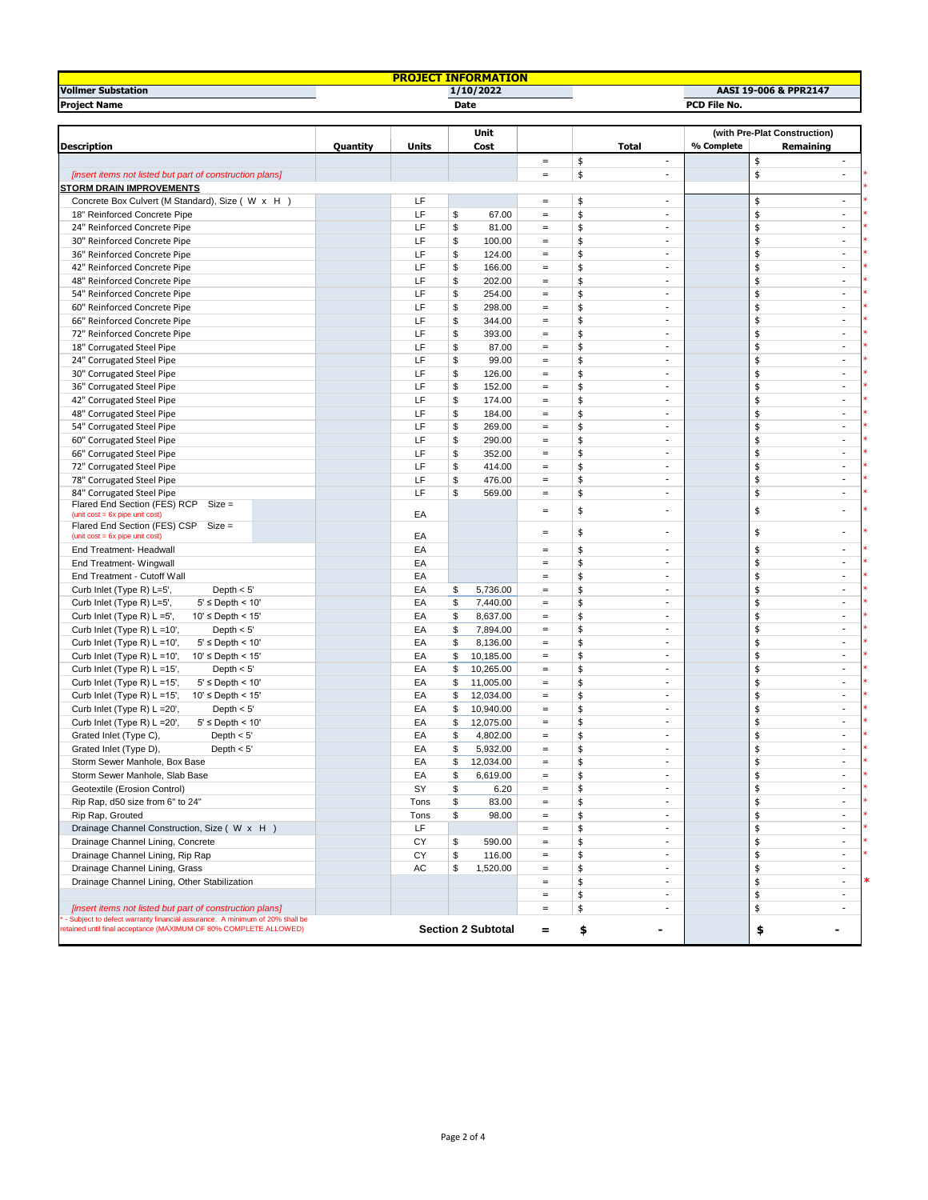| <b>PROJECT INFORMATION</b>                                                  |          |              |          |                           |                                        |          |                          |            |                                           |  |  |
|-----------------------------------------------------------------------------|----------|--------------|----------|---------------------------|----------------------------------------|----------|--------------------------|------------|-------------------------------------------|--|--|
| <b>Vollmer Substation</b><br>1/10/2022<br>AASI 19-006 & PPR2147             |          |              |          |                           |                                        |          |                          |            |                                           |  |  |
| <b>Project Name</b>                                                         | Date     |              |          |                           |                                        |          | PCD File No.             |            |                                           |  |  |
|                                                                             |          |              |          |                           |                                        |          |                          |            |                                           |  |  |
| <b>Description</b>                                                          | Quantity | <b>Units</b> |          | Unit<br>Cost              |                                        |          | <b>Total</b>             | % Complete | (with Pre-Plat Construction)<br>Remaining |  |  |
|                                                                             |          |              |          |                           | $\equiv$                               | \$       | $\sim$                   |            | \$<br>$\sim$                              |  |  |
| [insert items not listed but part of construction plans]                    |          |              |          |                           | $\qquad \qquad =$                      | \$       | $\overline{\phantom{a}}$ |            | \$<br>$\overline{\phantom{a}}$            |  |  |
| <b>STORM DRAIN IMPROVEMENTS</b>                                             |          |              |          |                           |                                        |          |                          |            |                                           |  |  |
| Concrete Box Culvert (M Standard), Size ( W x H )                           |          | LF           |          |                           | $\qquad \qquad =$                      | \$       | $\overline{\phantom{a}}$ |            | \$<br>$\overline{\phantom{a}}$            |  |  |
| 18" Reinforced Concrete Pipe                                                |          | LF           | \$       | 67.00                     | $\equiv$                               | \$       | ×.                       |            | \$<br>$\overline{\phantom{a}}$            |  |  |
| 24" Reinforced Concrete Pipe                                                |          | LF           | \$       | 81.00                     | $\equiv$                               | \$       | $\sim$                   |            | \$<br>$\overline{\phantom{a}}$            |  |  |
| 30" Reinforced Concrete Pipe                                                |          | LF           | \$       | 100.00                    | $\equiv$                               | \$       | $\sim$                   |            | \$<br>$\sim$                              |  |  |
| 36" Reinforced Concrete Pipe                                                |          | LF           | \$       | 124.00                    | $\qquad \qquad =$                      | \$       | $\sim$                   |            | \$<br>$\overline{\phantom{a}}$            |  |  |
| 42" Reinforced Concrete Pipe                                                |          | LF           | \$       | 166.00                    | $\qquad \qquad =$                      | \$       | $\sim$                   |            | \$<br>$\sim$                              |  |  |
| 48" Reinforced Concrete Pipe                                                |          | LF           | \$       | 202.00                    | $\equiv$                               | \$       | ×.                       |            | \$<br>×.                                  |  |  |
| 54" Reinforced Concrete Pipe                                                |          | LF           | \$       | 254.00                    | $\equiv$                               | \$       | $\overline{\phantom{a}}$ |            | \$<br>$\overline{\phantom{a}}$            |  |  |
| 60" Reinforced Concrete Pipe                                                |          | LF           | \$       | 298.00                    | $\equiv$                               | \$       | $\overline{\phantom{a}}$ |            | \$<br>$\overline{a}$                      |  |  |
| 66" Reinforced Concrete Pipe                                                |          | LF           | \$       | 344.00                    | $\equiv$                               | \$       | $\overline{\phantom{a}}$ |            | \$<br>$\overline{\phantom{a}}$            |  |  |
| 72" Reinforced Concrete Pipe                                                |          | LF           | \$       | 393.00                    | $\equiv$                               | \$       | $\sim$                   |            | \$<br>$\sim$                              |  |  |
| 18" Corrugated Steel Pipe                                                   |          | LF           | \$       | 87.00                     | $\qquad \qquad =$                      | \$       | ×                        |            | \$<br>$\sim$                              |  |  |
| 24" Corrugated Steel Pipe                                                   |          | LF           | \$       | 99.00                     | $\equiv$                               | \$       | ×.                       |            | \$<br>×.                                  |  |  |
| 30" Corrugated Steel Pipe                                                   |          | LF           | \$       | 126.00                    | $\equiv$                               | \$       | $\overline{\phantom{a}}$ |            | \$<br>$\overline{\phantom{a}}$            |  |  |
| 36" Corrugated Steel Pipe                                                   |          | LF           | \$       | 152.00                    | $\equiv$                               | \$       | $\overline{a}$           |            | \$<br>$\overline{\phantom{a}}$            |  |  |
| 42" Corrugated Steel Pipe                                                   |          | LF           | \$       | 174.00                    | $\qquad \qquad =$                      | \$       | $\sim$                   |            | \$<br>$\overline{\phantom{a}}$            |  |  |
| 48" Corrugated Steel Pipe                                                   |          | LF           | \$       | 184.00                    | $\equiv$                               | \$       | $\sim$                   |            | \$<br>×                                   |  |  |
| 54" Corrugated Steel Pipe                                                   |          | LF           | \$       | 269.00                    | $\qquad \qquad =$                      | \$       | $\sim$                   |            | \$<br>$\sim$                              |  |  |
| 60" Corrugated Steel Pipe                                                   |          | LF           | \$       | 290.00                    | $\qquad \qquad =$                      | \$       | $\sim$                   |            | \$<br>$\sim$                              |  |  |
| 66" Corrugated Steel Pipe                                                   |          | LF           | \$       | 352.00                    | $\equiv$                               | \$       | $\sim$                   |            | \$<br>$\sim$                              |  |  |
| 72" Corrugated Steel Pipe                                                   |          | LF           | \$       | 414.00                    | $\equiv$                               | \$       | $\overline{\phantom{a}}$ |            | \$<br>$\overline{\phantom{a}}$            |  |  |
| 78" Corrugated Steel Pipe                                                   |          | LF           | \$       | 476.00                    | $\equiv$                               | \$       | $\sim$                   |            | \$<br>$\sim$                              |  |  |
| 84" Corrugated Steel Pipe                                                   |          | LF           | \$       | 569.00                    | $\equiv$                               | \$       | $\sim$                   |            | \$<br>$\sim$                              |  |  |
| Flared End Section (FES) RCP Size =<br>(unit $cost = 6x$ pipe unit $cost$ ) |          | EA           |          |                           | $\equiv$                               | \$       | ٠                        |            | \$<br>٠                                   |  |  |
| Flared End Section (FES) CSP Size =                                         |          |              |          |                           |                                        |          |                          |            |                                           |  |  |
| $(unit cost = 6x pipe unit cost)$                                           |          | EA           |          |                           | $\equiv$                               | \$       | $\overline{\phantom{a}}$ |            | \$<br>$\frac{1}{2}$                       |  |  |
| End Treatment- Headwall                                                     |          | EA           |          |                           | $\qquad \qquad =$                      | \$       | ÷.                       |            | \$<br>×                                   |  |  |
| End Treatment- Wingwall                                                     |          | EA           |          |                           | $\qquad \qquad =$                      | \$       | $\sim$                   |            | \$<br>$\sim$                              |  |  |
| End Treatment - Cutoff Wall                                                 |          | EA           |          |                           | $\equiv$                               | \$       | $\sim$                   |            | \$<br>$\sim$                              |  |  |
| Curb Inlet (Type R) L=5',<br>Depth $< 5'$                                   |          | EA           | \$       | 5,736.00                  | $\equiv$                               | \$       | $\overline{\phantom{a}}$ |            | \$<br>$\overline{\phantom{a}}$            |  |  |
| $5' \leq$ Depth < 10'<br>Curb Inlet (Type R) L=5',                          |          | EA           | \$       | 7,440.00                  | $\equiv$                               | \$       | $\overline{\phantom{a}}$ |            | \$<br>$\overline{\phantom{a}}$            |  |  |
| Curb Inlet (Type R) L =5',<br>$10' \leq$ Depth < 15'                        |          | EA           | \$       | 8,637.00                  | $\equiv$                               | \$       | $\sim$                   |            | \$<br>$\sim$                              |  |  |
| Depth $< 5'$<br>Curb Inlet (Type R) L =10',                                 |          | EA           | \$       | 7,894.00                  | $\qquad \qquad =$                      | \$       | $\sim$                   |            | \$<br>$\sim$                              |  |  |
| Curb Inlet (Type R) L =10',<br>$5' \leq$ Depth < 10'                        |          | EA           | \$       | 8,136.00                  | $\qquad \qquad =$                      | \$       | $\overline{\phantom{a}}$ |            | \$<br>$\overline{\phantom{a}}$            |  |  |
| Curb Inlet (Type R) $L = 10'$ ,<br>$10' \leq$ Depth < 15'                   |          | EA           | \$       | 10,185.00                 | $\equiv$                               | \$       | $\overline{\phantom{a}}$ |            | \$<br>$\overline{\phantom{a}}$            |  |  |
| Curb Inlet (Type R) L =15',<br>Depth $< 5'$                                 |          | EA           | \$       | 10,265.00                 | $\,=\,$                                | \$       | ÷.                       |            | \$<br>×                                   |  |  |
| Curb Inlet (Type R) L =15',<br>$5' \leq$ Depth < 10'                        |          | EA           | \$       | 11,005.00                 | $\equiv$                               | \$       | $\overline{\phantom{a}}$ |            | \$<br>$\overline{\phantom{a}}$            |  |  |
| Curb Inlet (Type R) L =15',<br>$10' \leq$ Depth < 15'                       |          | EA           | \$       | 12,034.00                 | $\equiv$                               | \$       | $\sim$                   |            | \$<br>$\overline{\phantom{a}}$            |  |  |
| Curb Inlet (Type R) L = 20',<br>Depth $< 5'$                                |          | EA           | \$       | 10,940.00                 | $\equiv$                               | \$       | $\sim$                   |            | \$<br>$\overline{\phantom{a}}$            |  |  |
| $5' \le$ Depth < 10'<br>Curb Inlet (Type R) L =20',                         |          | EA           | \$       | 12,075.00                 | $\qquad \qquad =$                      | \$       | $\sim$                   |            | \$<br>$\sim$                              |  |  |
| Grated Inlet (Type C),<br>Depth $< 5'$                                      |          | EA           | \$       | 4,802.00                  | $\equiv$                               | \$       | $\sim$                   |            | \$<br>$\sim$                              |  |  |
| Grated Inlet (Type D),<br>Depth $< 5'$                                      |          | EA           | \$       | 5,932.00                  |                                        | ¢        |                          |            |                                           |  |  |
| Storm Sewer Manhole, Box Base                                               |          | EA           | \$       | 12,034.00                 | $\,=\,$                                | \$       |                          |            | \$                                        |  |  |
| Storm Sewer Manhole, Slab Base                                              |          | EA           | \$       | 6,619.00                  | $\equiv$                               | \$       | $\overline{\phantom{a}}$ |            | \$<br>$\sim$                              |  |  |
| Geotextile (Erosion Control)                                                |          | SY           | \$       | 6.20                      | $\equiv$                               | \$       | $\sim$<br>$\sim$         |            | \$<br>$\sim$<br>$\sim$                    |  |  |
| Rip Rap, d50 size from 6" to 24"                                            |          | Tons         | \$       | 83.00                     | $\qquad \qquad =$                      | \$       | ×                        |            | \$<br>$\sim$                              |  |  |
| Rip Rap, Grouted                                                            |          | Tons<br>LF   | \$       | 98.00                     | $\qquad \qquad =$<br>$\qquad \qquad =$ | \$       | $\overline{\phantom{a}}$ |            | \$<br>\$<br>$\overline{\phantom{a}}$      |  |  |
| Drainage Channel Construction, Size (W x H)                                 |          |              |          |                           | $\equiv$                               | \$       | $\overline{\phantom{a}}$ |            | \$<br>$\overline{\phantom{a}}$            |  |  |
| Drainage Channel Lining, Concrete                                           |          | СY<br>СY     | \$<br>\$ | 590.00<br>116.00          | $\equiv$                               | \$<br>\$ | $\overline{\phantom{a}}$ |            | \$<br>$\overline{\phantom{a}}$            |  |  |
| Drainage Channel Lining, Rip Rap<br>Drainage Channel Lining, Grass          |          | АC           | \$       | 1,520.00                  | $\equiv$                               | \$       | $\sim$                   |            | \$<br>$\sim$                              |  |  |
| Drainage Channel Lining, Other Stabilization                                |          |              |          |                           | $\qquad \qquad =$                      | \$       | ×                        |            | \$<br>÷                                   |  |  |
|                                                                             |          |              |          |                           | $\qquad \qquad =$                      | \$       | $\sim$                   |            | \$<br>$\sim$                              |  |  |
| [insert items not listed but part of construction plans]                    |          |              |          |                           | $\equiv$                               | \$       | $\sim$                   |            | \$<br>$\sim$                              |  |  |
| Subject to defect warranty financial assurance. A minimum of 20% shall be   |          |              |          |                           |                                        |          |                          |            |                                           |  |  |
| etained until final acceptance (MAXIMUM OF 80% COMPLETE ALLOWED)            |          |              |          | <b>Section 2 Subtotal</b> | $=$                                    | \$       | -                        |            | \$<br>-                                   |  |  |
|                                                                             |          |              |          |                           |                                        |          |                          |            |                                           |  |  |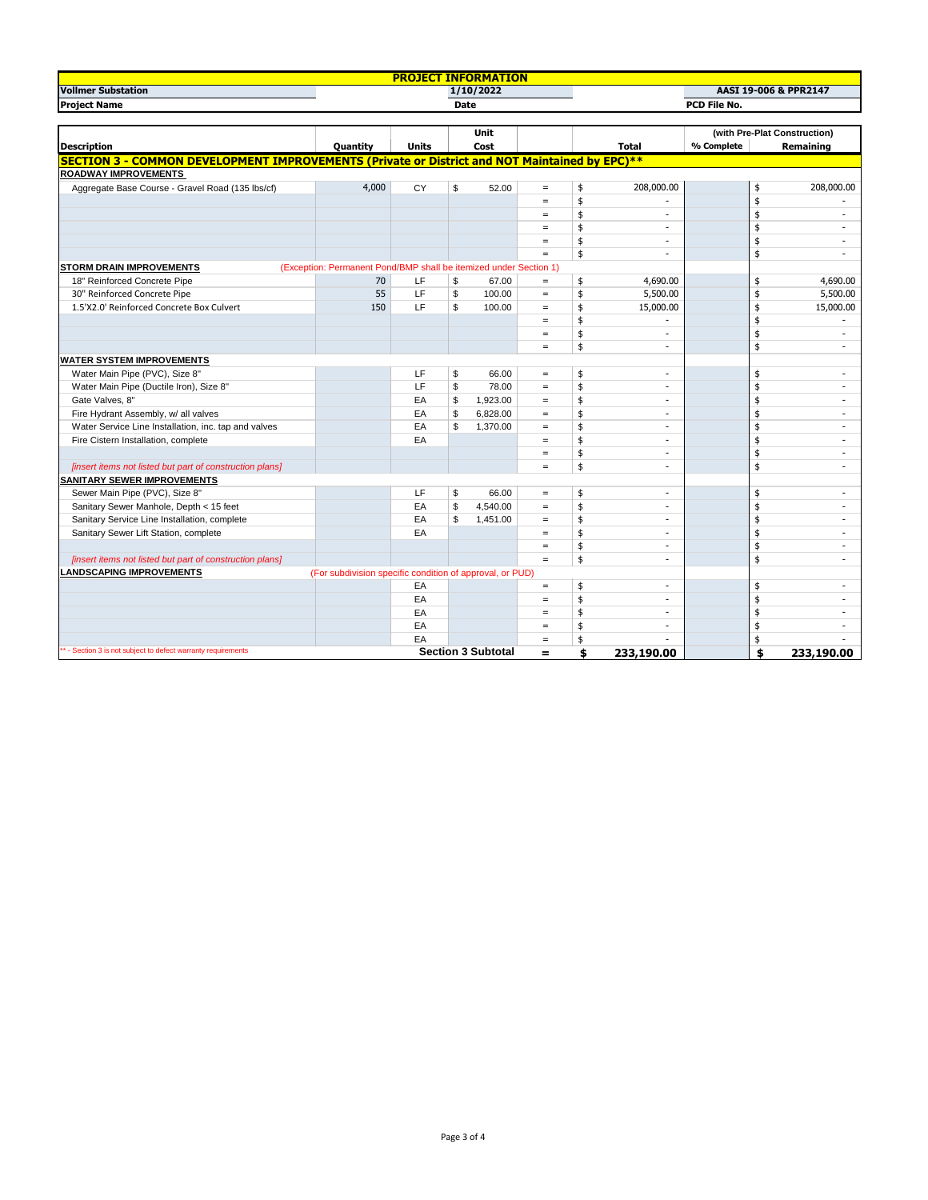| <b>PROJECT INFORMATION</b>                                                                           |                                                                   |              |      |                           |                   |              |              |                              |               |                          |  |  |
|------------------------------------------------------------------------------------------------------|-------------------------------------------------------------------|--------------|------|---------------------------|-------------------|--------------|--------------|------------------------------|---------------|--------------------------|--|--|
| <b>Vollmer Substation</b><br>1/10/2022                                                               |                                                                   |              |      |                           |                   |              |              |                              |               | AASI 19-006 & PPR2147    |  |  |
| <b>Project Name</b><br><b>Date</b>                                                                   |                                                                   |              |      |                           |                   | PCD File No. |              |                              |               |                          |  |  |
|                                                                                                      |                                                                   |              |      |                           |                   |              |              |                              |               |                          |  |  |
|                                                                                                      |                                                                   |              | Unit |                           |                   |              |              | (with Pre-Plat Construction) |               |                          |  |  |
| <b>Description</b>                                                                                   | Quantity                                                          | <b>Units</b> |      | Cost                      |                   |              | <b>Total</b> | % Complete                   |               | Remaining                |  |  |
| <b>SECTION 3 - COMMON DEVELOPMENT IMPROVEMENTS (Private or District and NOT Maintained by EPC)**</b> |                                                                   |              |      |                           |                   |              |              |                              |               |                          |  |  |
| <b>ROADWAY IMPROVEMENTS</b>                                                                          |                                                                   |              |      |                           |                   |              |              |                              |               |                          |  |  |
| Aggregate Base Course - Gravel Road (135 lbs/cf)                                                     | 4,000                                                             | CY           | \$   | 52.00                     | $\equiv$          | \$           | 208,000.00   |                              | \$            | 208,000.00               |  |  |
|                                                                                                      |                                                                   |              |      |                           | $=$               | \$           |              |                              | \$            |                          |  |  |
|                                                                                                      |                                                                   |              |      |                           | $\qquad \qquad =$ | \$           | $\sim$       |                              | \$            | ٠                        |  |  |
|                                                                                                      |                                                                   |              |      |                           | $\,=\,$           | \$           | $\sim$       |                              | \$            | ÷.                       |  |  |
|                                                                                                      |                                                                   |              |      |                           | $=$               | \$           | ÷            |                              | \$            | ٠                        |  |  |
|                                                                                                      |                                                                   |              |      |                           | $=$               | \$           |              |                              | \$            | $\sim$                   |  |  |
| <b>STORM DRAIN IMPROVEMENTS</b>                                                                      | (Exception: Permanent Pond/BMP shall be itemized under Section 1) |              |      |                           |                   |              |              |                              |               |                          |  |  |
| 18" Reinforced Concrete Pipe                                                                         | 70                                                                | LF           | \$   | 67.00                     | $\equiv$          | \$           | 4,690.00     |                              | \$            | 4,690.00                 |  |  |
| 30" Reinforced Concrete Pipe                                                                         | 55                                                                | LF           | \$   | 100.00                    | $\equiv$          | \$           | 5,500.00     |                              | \$            | 5,500.00                 |  |  |
| 1.5'X2.0' Reinforced Concrete Box Culvert                                                            | 150                                                               | LF           | \$   | 100.00                    | $\equiv$          | \$           | 15,000.00    |                              | \$            | 15,000.00                |  |  |
|                                                                                                      |                                                                   |              |      |                           | $=$               | \$           |              |                              | \$            |                          |  |  |
|                                                                                                      |                                                                   |              |      |                           | $=$               | \$           | $\sim$       |                              | \$            | $\overline{\phantom{a}}$ |  |  |
|                                                                                                      |                                                                   |              |      |                           | $\equiv$          | \$           | ÷            |                              | \$            |                          |  |  |
| <b>WATER SYSTEM IMPROVEMENTS</b>                                                                     |                                                                   |              |      |                           |                   |              |              |                              |               |                          |  |  |
| Water Main Pipe (PVC), Size 8"                                                                       |                                                                   | LF           | \$   | 66.00                     | $=$               | \$           | $\sim$       |                              | \$            | ٠                        |  |  |
| Water Main Pipe (Ductile Iron), Size 8"                                                              |                                                                   | LF           | \$   | 78.00                     | $\equiv$          | \$           | ÷            |                              | \$            | ٠                        |  |  |
| Gate Valves, 8"                                                                                      |                                                                   | EA           | \$   | 1,923.00                  | $=$               | \$           | ÷            |                              | \$            | ÷.                       |  |  |
| Fire Hydrant Assembly, w/ all valves                                                                 |                                                                   | EA           | \$   | 6,828.00                  | $\equiv$          | \$           | $\sim$       |                              | \$            |                          |  |  |
| Water Service Line Installation, inc. tap and valves                                                 |                                                                   | EA           | \$   | 1,370.00                  | $\equiv$          | \$           |              |                              | \$            |                          |  |  |
| Fire Cistern Installation, complete                                                                  |                                                                   | EA           |      |                           | $=$               | \$           | ٠            |                              | \$            | ٠                        |  |  |
|                                                                                                      |                                                                   |              |      |                           | $=$               | \$           | ÷            |                              | \$            | ٠                        |  |  |
| [insert items not listed but part of construction plans]                                             |                                                                   |              |      |                           | $=$               | \$           | $\sim$       |                              | \$            | ÷                        |  |  |
| <b>SANITARY SEWER IMPROVEMENTS</b>                                                                   |                                                                   |              |      |                           |                   |              |              |                              |               |                          |  |  |
| Sewer Main Pipe (PVC), Size 8"                                                                       |                                                                   | LF           | \$   | 66.00                     | $=$               | \$           | ٠            |                              | \$            | ٠                        |  |  |
| Sanitary Sewer Manhole, Depth < 15 feet                                                              |                                                                   | EA           | \$   | 4,540.00                  | $\equiv$          | \$           | з.           |                              | \$            | ÷                        |  |  |
| Sanitary Service Line Installation, complete                                                         |                                                                   | EA           | \$   | 1,451.00                  | $\equiv$          | \$           | ٠            |                              | $\frac{4}{3}$ |                          |  |  |
| Sanitary Sewer Lift Station, complete                                                                |                                                                   | EA           |      |                           | $=$               | \$           | $\sim$       |                              | \$            |                          |  |  |
|                                                                                                      |                                                                   |              |      |                           | $\equiv$          | \$           | $\sim$       |                              | \$            | ÷                        |  |  |
| [insert items not listed but part of construction plans]                                             |                                                                   |              |      |                           | $=$               | \$           | ÷            |                              | \$            | ÷.                       |  |  |
| <b>ANDSCAPING IMPROVEMENTS</b><br>(For subdivision specific condition of approval, or PUD)           |                                                                   |              |      |                           |                   |              |              |                              |               |                          |  |  |
|                                                                                                      |                                                                   | EA           |      |                           | $\equiv$          | \$           | $\sim$       |                              | \$            |                          |  |  |
|                                                                                                      |                                                                   | EA           |      |                           | $\,=\,$           | \$           |              |                              | \$            | $\sim$                   |  |  |
|                                                                                                      |                                                                   | EA           |      |                           | $=$               | \$           | ÷            |                              | \$            | ٠                        |  |  |
|                                                                                                      |                                                                   | EA           |      |                           | $=$               | \$           |              |                              | \$            |                          |  |  |
|                                                                                                      |                                                                   | EA           |      |                           | $=$               | \$           |              |                              | \$            |                          |  |  |
| ** - Section 3 is not subject to defect warranty requirements                                        |                                                                   |              |      | <b>Section 3 Subtotal</b> | $\equiv$          | \$           | 233,190.00   |                              | \$            | 233,190.00               |  |  |